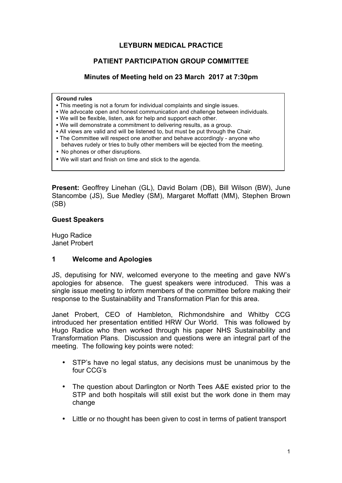# **LEYBURN MEDICAL PRACTICE**

# **PATIENT PARTICIPATION GROUP COMMITTEE**

# **Minutes of Meeting held on 23 March 2017 at 7:30pm**

#### **Ground rules**

- This meeting is not a forum for individual complaints and single issues.
- We advocate open and honest communication and challenge between individuals.
- We will be flexible, listen, ask for help and support each other.
- We will demonstrate a commitment to delivering results, as a group.
- All views are valid and will be listened to, but must be put through the Chair.
- The Committee will respect one another and behave accordingly anyone who behaves rudely or tries to bully other members will be ejected from the meeting.
- No phones or other disruptions.
- We will start and finish on time and stick to the agenda.

**Present:** Geoffrey Linehan (GL), David Bolam (DB), Bill Wilson (BW), June Stancombe (JS), Sue Medley (SM), Margaret Moffatt (MM), Stephen Brown (SB)

### **Guest Speakers**

Hugo Radice Janet Probert

## **1 Welcome and Apologies**

JS, deputising for NW, welcomed everyone to the meeting and gave NW's apologies for absence. The guest speakers were introduced. This was a single issue meeting to inform members of the committee before making their response to the Sustainability and Transformation Plan for this area.

Janet Probert, CEO of Hambleton, Richmondshire and Whitby CCG introduced her presentation entitled HRW Our World. This was followed by Hugo Radice who then worked through his paper NHS Sustainability and Transformation Plans. Discussion and questions were an integral part of the meeting. The following key points were noted:

- STP's have no legal status, any decisions must be unanimous by the four CCG's
- The question about Darlington or North Tees A&E existed prior to the STP and both hospitals will still exist but the work done in them may change
- Little or no thought has been given to cost in terms of patient transport